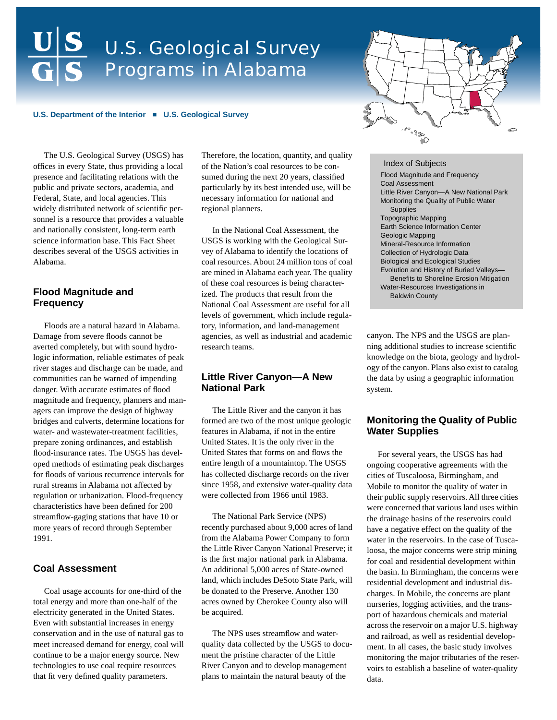# U.S. Geological Survey Programs in Alabama

#### **U.S. Department of the Interior** ª **U.S. Geological Survey**

The U.S. Geological Survey (USGS) has offices in every State, thus providing a local presence and facilitating relations with the public and private sectors, academia, and Federal, State, and local agencies. This widely distributed network of scientific personnel is a resource that provides a valuable and nationally consistent, long-term earth science information base. This Fact Sheet describes several of the USGS activities in Alabama.

## **Flood Magnitude and Frequency**

Floods are a natural hazard in Alabama. Damage from severe floods cannot be averted completely, but with sound hydrologic information, reliable estimates of peak river stages and discharge can be made, and communities can be warned of impending danger. With accurate estimates of flood magnitude and frequency, planners and managers can improve the design of highway bridges and culverts, determine locations for water- and wastewater-treatment facilities, prepare zoning ordinances, and establish flood-insurance rates. The USGS has developed methods of estimating peak discharges for floods of various recurrence intervals for rural streams in Alabama not affected by regulation or urbanization. Flood-frequency characteristics have been defined for 200 streamflow-gaging stations that have 10 or more years of record through September 1991.

## **Coal Assessment**

Coal usage accounts for one-third of the total energy and more than one-half of the electricity generated in the United States. Even with substantial increases in energy conservation and in the use of natural gas to meet increased demand for energy, coal will continue to be a major energy source. New technologies to use coal require resources that fit very defined quality parameters.

Therefore, the location, quantity, and quality of the Nation's coal resources to be consumed during the next 20 years, classified particularly by its best intended use, will be necessary information for national and regional planners.

In the National Coal Assessment, the USGS is working with the Geological Survey of Alabama to identify the locations of coal resources. About 24 million tons of coal are mined in Alabama each year. The quality of these coal resources is being characterized. The products that result from the National Coal Assessment are useful for all levels of government, which include regulatory, information, and land-management agencies, as well as industrial and academic research teams.

#### **Little River Canyon—A New National Park**

The Little River and the canyon it has formed are two of the most unique geologic features in Alabama, if not in the entire United States. It is the only river in the United States that forms on and flows the entire length of a mountaintop. The USGS has collected discharge records on the river since 1958, and extensive water-quality data were collected from 1966 until 1983.

The National Park Service (NPS) recently purchased about 9,000 acres of land from the Alabama Power Company to form the Little River Canyon National Preserve; it is the first major national park in Alabama. An additional 5,000 acres of State-owned land, which includes DeSoto State Park, will be donated to the Preserve. Another 130 acres owned by Cherokee County also will be acquired.

The NPS uses streamflow and waterquality data collected by the USGS to document the pristine character of the Little River Canyon and to develop management plans to maintain the natural beauty of the



Index of Subjects Flood Magnitude and Frequency Coal Assessment Little River Canyon—A New National Park Monitoring the Quality of Public Water Supplies Topographic Mapping Earth Science Information Center Geologic Mapping Mineral-Resource Information Collection of Hydrologic Data Biological and Ecological Studies Evolution and History of Buried Valleys— Benefits to Shoreline Erosion Mitigation Water-Resources Investigations in Baldwin County

canyon. The NPS and the USGS are planning additional studies to increase scientific knowledge on the biota, geology and hydrology of the canyon. Plans also exist to catalog the data by using a geographic information system.

#### **Monitoring the Quality of Public Water Supplies**

For several years, the USGS has had ongoing cooperative agreements with the cities of Tuscaloosa, Birmingham, and Mobile to monitor the quality of water in their public supply reservoirs. All three cities were concerned that various land uses within the drainage basins of the reservoirs could have a negative effect on the quality of the water in the reservoirs. In the case of Tuscaloosa, the major concerns were strip mining for coal and residential development within the basin. In Birmingham, the concerns were residential development and industrial discharges. In Mobile, the concerns are plant nurseries, logging activities, and the transport of hazardous chemicals and material across the reservoir on a major U.S. highway and railroad, as well as residential development. In all cases, the basic study involves monitoring the major tributaries of the reservoirs to establish a baseline of water-quality data.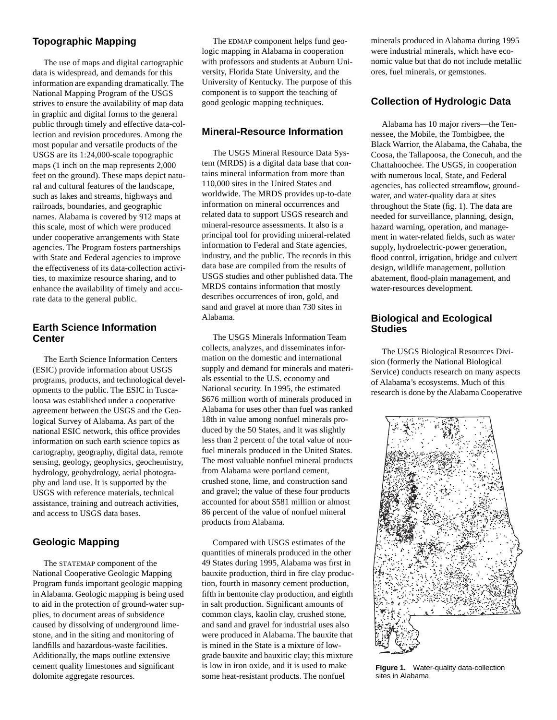# **Topographic Mapping**

The use of maps and digital cartographic data is widespread, and demands for this information are expanding dramatically. The National Mapping Program of the USGS strives to ensure the availability of map data in graphic and digital forms to the general public through timely and effective data-collection and revision procedures. Among the most popular and versatile products of the USGS are its 1:24,000-scale topographic maps (1 inch on the map represents 2,000 feet on the ground). These maps depict natural and cultural features of the landscape, such as lakes and streams, highways and railroads, boundaries, and geographic names. Alabama is covered by 912 maps at this scale, most of which were produced under cooperative arrangements with State agencies. The Program fosters partnerships with State and Federal agencies to improve the effectiveness of its data-collection activities, to maximize resource sharing, and to enhance the availability of timely and accurate data to the general public.

# **Earth Science Information Center**

The Earth Science Information Centers (ESIC) provide information about USGS programs, products, and technological developments to the public. The ESIC in Tuscaloosa was established under a cooperative agreement between the USGS and the Geological Survey of Alabama. As part of the national ESIC network, this office provides information on such earth science topics as cartography, geography, digital data, remote sensing, geology, geophysics, geochemistry, hydrology, geohydrology, aerial photography and land use. It is supported by the USGS with reference materials, technical assistance, training and outreach activities, and access to USGS data bases.

# **Geologic Mapping**

The STATEMAP component of the National Cooperative Geologic Mapping Program funds important geologic mapping in Alabama. Geologic mapping is being used to aid in the protection of ground-water supplies, to document areas of subsidence caused by dissolving of underground limestone, and in the siting and monitoring of landfills and hazardous-waste facilities. Additionally, the maps outline extensive cement quality limestones and significant dolomite aggregate resources.

The EDMAP component helps fund geologic mapping in Alabama in cooperation with professors and students at Auburn University, Florida State University, and the University of Kentucky. The purpose of this component is to support the teaching of good geologic mapping techniques.

# **Mineral-Resource Information**

The USGS Mineral Resource Data System (MRDS) is a digital data base that contains mineral information from more than 110,000 sites in the United States and worldwide. The MRDS provides up-to-date information on mineral occurrences and related data to support USGS research and mineral-resource assessments. It also is a principal tool for providing mineral-related information to Federal and State agencies, industry, and the public. The records in this data base are compiled from the results of USGS studies and other published data. The MRDS contains information that mostly describes occurrences of iron, gold, and sand and gravel at more than 730 sites in Alabama.

The USGS Minerals Information Team collects, analyzes, and disseminates information on the domestic and international supply and demand for minerals and materials essential to the U.S. economy and National security. In 1995, the estimated \$676 million worth of minerals produced in Alabama for uses other than fuel was ranked 18th in value among nonfuel minerals produced by the 50 States, and it was slightly less than 2 percent of the total value of nonfuel minerals produced in the United States. The most valuable nonfuel mineral products from Alabama were portland cement, crushed stone, lime, and construction sand and gravel; the value of these four products accounted for about \$581 million or almost 86 percent of the value of nonfuel mineral products from Alabama.

Compared with USGS estimates of the quantities of minerals produced in the other 49 States during 1995, Alabama was first in bauxite production, third in fire clay production, fourth in masonry cement production, fifth in bentonite clay production, and eighth in salt production. Significant amounts of common clays, kaolin clay, crushed stone, and sand and gravel for industrial uses also were produced in Alabama. The bauxite that is mined in the State is a mixture of lowgrade bauxite and bauxitic clay; this mixture is low in iron oxide, and it is used to make some heat-resistant products. The nonfuel

minerals produced in Alabama during 1995 were industrial minerals, which have economic value but that do not include metallic ores, fuel minerals, or gemstones.

# **Collection of Hydrologic Data**

Alabama has 10 major rivers—the Tennessee, the Mobile, the Tombigbee, the Black Warrior, the Alabama, the Cahaba, the Coosa, the Tallapoosa, the Conecuh, and the Chattahoochee. The USGS, in cooperation with numerous local, State, and Federal agencies, has collected streamflow, groundwater, and water-quality data at sites throughout the State (fig. 1). The data are needed for surveillance, planning, design, hazard warning, operation, and management in water-related fields, such as water supply, hydroelectric-power generation, flood control, irrigation, bridge and culvert design, wildlife management, pollution abatement, flood-plain management, and water-resources development.

# **Biological and Ecological Studies**

The USGS Biological Resources Division (formerly the National Biological Service) conducts research on many aspects of Alabama's ecosystems. Much of this research is done by the Alabama Cooperative



**Figure 1.** Water-quality data-collection sites in Alabama.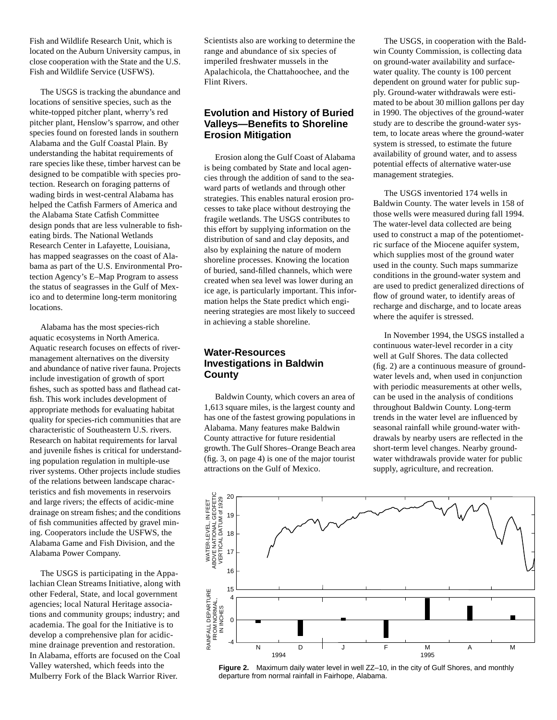Fish and Wildlife Research Unit, which is located on the Auburn University campus, in close cooperation with the State and the U.S. Fish and Wildlife Service (USFWS).

The USGS is tracking the abundance and locations of sensitive species, such as the white-topped pitcher plant, wherry's red pitcher plant, Henslow's sparrow, and other species found on forested lands in southern Alabama and the Gulf Coastal Plain. By understanding the habitat requirements of rare species like these, timber harvest can be designed to be compatible with species protection. Research on foraging patterns of wading birds in west-central Alabama has helped the Catfish Farmers of America and the Alabama State Catfish Committee design ponds that are less vulnerable to fisheating birds. The National Wetlands Research Center in Lafayette, Louisiana, has mapped seagrasses on the coast of Alabama as part of the U.S. Environmental Protection Agency's E–Map Program to assess the status of seagrasses in the Gulf of Mexico and to determine long-term monitoring locations.

Alabama has the most species-rich aquatic ecosystems in North America. Aquatic research focuses on effects of rivermanagement alternatives on the diversity and abundance of native river fauna. Projects include investigation of growth of sport fishes, such as spotted bass and flathead catfish. This work includes development of appropriate methods for evaluating habitat quality for species-rich communities that are characteristic of Southeastern U.S. rivers. Research on habitat requirements for larval and juvenile fishes is critical for understanding population regulation in multiple-use river systems. Other projects include studies of the relations between landscape characteristics and fish movements in reservoirs and large rivers; the effects of acidic-mine drainage on stream fishes; and the conditions of fish communities affected by gravel mining. Cooperators include the USFWS, the Alabama Game and Fish Division, and the Alabama Power Company.

The USGS is participating in the Appalachian Clean Streams Initiative, along with other Federal, State, and local government agencies; local Natural Heritage associations and community groups; industry; and academia. The goal for the Initiative is to develop a comprehensive plan for acidicmine drainage prevention and restoration. In Alabama, efforts are focused on the Coal Valley watershed, which feeds into the Mulberry Fork of the Black Warrior River.

Scientists also are working to determine the range and abundance of six species of imperiled freshwater mussels in the Apalachicola, the Chattahoochee, and the Flint Rivers.

# **Evolution and History of Buried Valleys—Benefits to Shoreline Erosion Mitigation**

Erosion along the Gulf Coast of Alabama is being combated by State and local agencies through the addition of sand to the seaward parts of wetlands and through other strategies. This enables natural erosion processes to take place without destroying the fragile wetlands. The USGS contributes to this effort by supplying information on the distribution of sand and clay deposits, and also by explaining the nature of modern shoreline processes. Knowing the location of buried, sand-filled channels, which were created when sea level was lower during an ice age, is particularly important. This information helps the State predict which engineering strategies are most likely to succeed in achieving a stable shoreline.

## **Water-Resources Investigations in Baldwin County**

Baldwin County, which covers an area of 1,613 square miles, is the largest county and has one of the fastest growing populations in Alabama. Many features make Baldwin County attractive for future residential growth. The Gulf Shores–Orange Beach area (fig. 3, on page 4) is one of the major tourist attractions on the Gulf of Mexico.

The USGS, in cooperation with the Baldwin County Commission, is collecting data on ground-water availability and surfacewater quality. The county is 100 percent dependent on ground water for public supply. Ground-water withdrawals were estimated to be about 30 million gallons per day in 1990. The objectives of the ground-water study are to describe the ground-water system, to locate areas where the ground-water system is stressed, to estimate the future availability of ground water, and to assess potential effects of alternative water-use management strategies.

The USGS inventoried 174 wells in Baldwin County. The water levels in 158 of those wells were measured during fall 1994. The water-level data collected are being used to construct a map of the potentiometric surface of the Miocene aquifer system, which supplies most of the ground water used in the county. Such maps summarize conditions in the ground-water system and are used to predict generalized directions of flow of ground water, to identify areas of recharge and discharge, and to locate areas where the aquifer is stressed.

In November 1994, the USGS installed a continuous water-level recorder in a city well at Gulf Shores. The data collected (fig. 2) are a continuous measure of groundwater levels and, when used in conjunction with periodic measurements at other wells, can be used in the analysis of conditions throughout Baldwin County. Long-term trends in the water level are influenced by seasonal rainfall while ground-water withdrawals by nearby users are reflected in the short-term level changes. Nearby groundwater withdrawals provide water for public supply, agriculture, and recreation.



**Figure 2.** Maximum daily water level in well ZZ–10, in the city of Gulf Shores, and monthly departure from normal rainfall in Fairhope, Alabama.